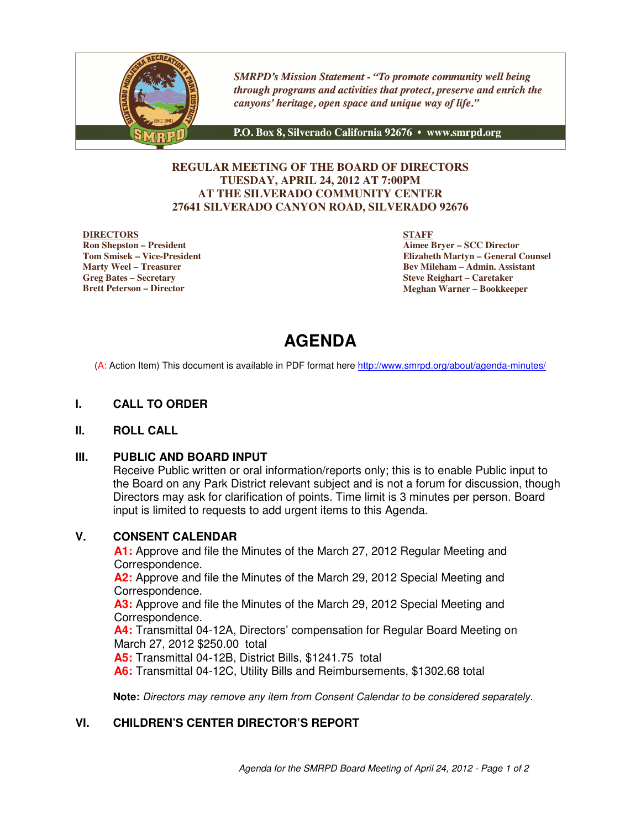

**SMRPD's Mission Statement - "To promote community well being** through programs and activities that protect, preserve and enrich the canyons' heritage, open space and unique way of life."

P.O. Box 8, Silverado California 92676 · www.smrpd.org

#### **REGULAR MEETING OF THE BOARD OF DIRECTORS TUESDAY, APRIL 24, 2012 AT 7:00PM AT THE SILVERADO COMMUNITY CENTER 27641 SILVERADO CANYON ROAD, SILVERADO 92676**

#### **DIRECTORS**

**Ron Shepston – President Tom Smisek – Vice-President Marty Weel – Treasurer Greg Bates – Secretary Brett Peterson – Director**

**STAFF**

**Aimee Bryer – SCC Director Elizabeth Martyn – General Counsel Bev Mileham – Admin. Assistant Steve Reighart – Caretaker Meghan Warner – Bookkeeper**

# **AGENDA**

(A: Action Item) This document is available in PDF format here http://www.smrpd.org/about/agenda-minutes/

#### **I. CALL TO ORDER**

#### **II. ROLL CALL**

#### **III. PUBLIC AND BOARD INPUT**

Receive Public written or oral information/reports only; this is to enable Public input to the Board on any Park District relevant subject and is not a forum for discussion, though Directors may ask for clarification of points. Time limit is 3 minutes per person. Board input is limited to requests to add urgent items to this Agenda.

#### **V. CONSENT CALENDAR**

**A1:** Approve and file the Minutes of the March 27, 2012 Regular Meeting and Correspondence.

**A2:** Approve and file the Minutes of the March 29, 2012 Special Meeting and Correspondence.

**A3:** Approve and file the Minutes of the March 29, 2012 Special Meeting and Correspondence.

**A4:** Transmittal 04-12A, Directors' compensation for Regular Board Meeting on March 27, 2012 \$250.00 total

**A5:** Transmittal 04-12B, District Bills, \$1241.75 total

**A6:** Transmittal 04-12C, Utility Bills and Reimbursements, \$1302.68 total

**Note:** Directors may remove any item from Consent Calendar to be considered separately.

#### **VI. CHILDREN'S CENTER DIRECTOR'S REPORT**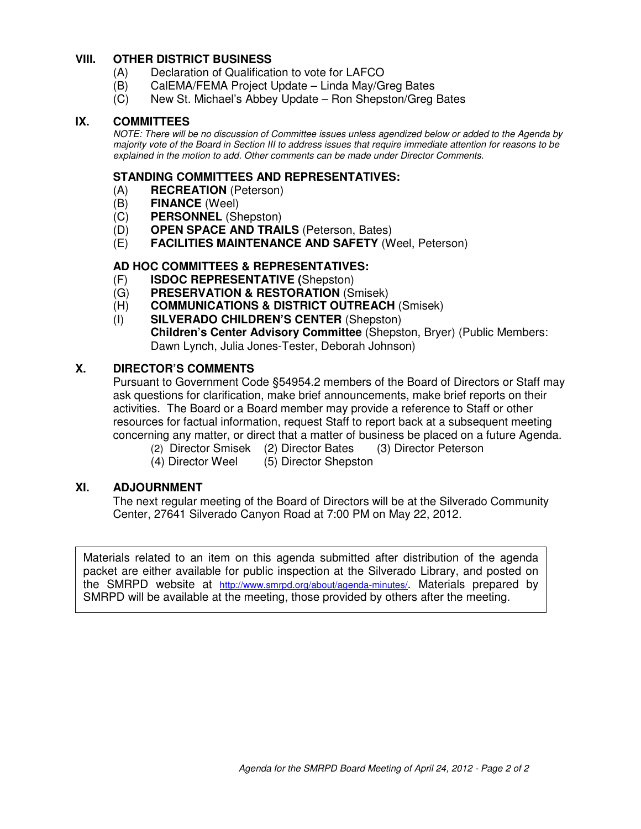#### **VIII. OTHER DISTRICT BUSINESS**

- (A) Declaration of Qualification to vote for LAFCO
- (B) CalEMA/FEMA Project Update Linda May/Greg Bates
- (C) New St. Michael's Abbey Update Ron Shepston/Greg Bates

#### **IX. COMMITTEES**

NOTE: There will be no discussion of Committee issues unless agendized below or added to the Agenda by majority vote of the Board in Section III to address issues that require immediate attention for reasons to be explained in the motion to add. Other comments can be made under Director Comments.

#### **STANDING COMMITTEES AND REPRESENTATIVES:**

- (A) **RECREATION** (Peterson)
- (B) **FINANCE** (Weel)
- (C) **PERSONNEL** (Shepston)
- (D) **OPEN SPACE AND TRAILS** (Peterson, Bates)
- (E) **FACILITIES MAINTENANCE AND SAFETY** (Weel, Peterson)

#### **AD HOC COMMITTEES & REPRESENTATIVES:**

- (F) **ISDOC REPRESENTATIVE (**Shepston)
- (G) **PRESERVATION & RESTORATION** (Smisek)
- (H) **COMMUNICATIONS & DISTRICT OUTREACH** (Smisek)
- (I) **SILVERADO CHILDREN'S CENTER** (Shepston) **Children's Center Advisory Committee** (Shepston, Bryer) (Public Members: Dawn Lynch, Julia Jones-Tester, Deborah Johnson)

#### **X. DIRECTOR'S COMMENTS**

Pursuant to Government Code §54954.2 members of the Board of Directors or Staff may ask questions for clarification, make brief announcements, make brief reports on their activities. The Board or a Board member may provide a reference to Staff or other resources for factual information, request Staff to report back at a subsequent meeting concerning any matter, or direct that a matter of business be placed on a future Agenda.

- (2) Director Smisek (2) Director Bates (3) Director Peterson
- (4) Director Weel (5) Director Shepston

#### **XI. ADJOURNMENT**

The next regular meeting of the Board of Directors will be at the Silverado Community Center, 27641 Silverado Canyon Road at 7:00 PM on May 22, 2012.

Materials related to an item on this agenda submitted after distribution of the agenda packet are either available for public inspection at the Silverado Library, and posted on the SMRPD website at http://www.smrpd.org/about/agenda-minutes/. Materials prepared by SMRPD will be available at the meeting, those provided by others after the meeting.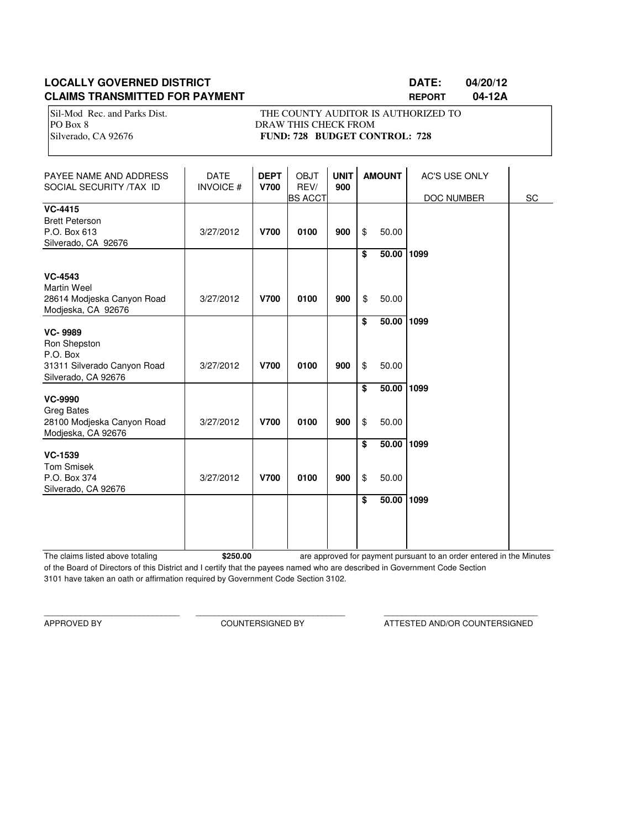## **LOCALLY GOVERNED DISTRICT DATE: 04/20/12 CLAIMS TRANSMITTED FOR PAYMENT REPORT 04-12A**

Sil-Mod Rec. and Parks Dist. THE COUNTY AUDITOR IS AUTHORIZED TO PO Box 8 DRAW THIS CHECK FROM Silverado, CA 92676 **FUND: 728 BUDGET CONTROL: 728** 

| PAYEE NAME AND ADDRESS<br>SOCIAL SECURITY /TAX ID                                       | <b>DATE</b><br><b>INVOICE#</b> | <b>DEPT</b><br><b>V700</b> | OBJT<br>REV/<br><b>BS ACCT</b> | <b>UNIT</b><br>900 |          | <b>AMOUNT</b>  | <b>AC'S USE ONLY</b><br>DOC NUMBER | SC |
|-----------------------------------------------------------------------------------------|--------------------------------|----------------------------|--------------------------------|--------------------|----------|----------------|------------------------------------|----|
| <b>VC-4415</b><br><b>Brett Peterson</b><br>P.O. Box 613<br>Silverado, CA 92676          | 3/27/2012                      | <b>V700</b>                | 0100                           | 900                | \$       | 50.00          |                                    |    |
| <b>VC-4543</b><br><b>Martin Weel</b><br>28614 Modjeska Canyon Road                      | 3/27/2012                      | <b>V700</b>                | 0100                           | 900                | \$<br>\$ | 50.00<br>50.00 | 1099                               |    |
| Modjeska, CA 92676<br><b>VC-9989</b>                                                    |                                |                            |                                |                    | \$       | 50.00          | 1099                               |    |
| Ron Shepston<br>P.O. Box<br>31311 Silverado Canyon Road<br>Silverado, CA 92676          | 3/27/2012                      | <b>V700</b>                | 0100                           | 900                | \$       | 50.00          |                                    |    |
| <b>VC-9990</b><br><b>Greg Bates</b><br>28100 Modjeska Canyon Road<br>Modjeska, CA 92676 | 3/27/2012                      | <b>V700</b>                | 0100                           | 900                | \$<br>\$ | 50.00<br>50.00 | 1099                               |    |
| <b>VC-1539</b><br><b>Tom Smisek</b><br>P.O. Box 374<br>Silverado, CA 92676              | 3/27/2012                      | <b>V700</b>                | 0100                           | 900                | \$<br>\$ | 50.00<br>50.00 | 1099                               |    |
|                                                                                         |                                |                            |                                |                    | \$       | 50.00          | 1099                               |    |

The claims listed above totaling **\$250.00** of the Board of Directors of this District and I certify that the payees named who are described in Government Code Section 3101 have taken an oath or affirmation required by Government Code Section 3102. are approved for payment pursuant to an order entered in the Minutes

\_\_\_\_\_\_\_\_\_\_\_\_\_\_\_\_\_\_\_\_\_\_\_\_\_\_\_\_\_\_ \_\_\_\_\_\_\_\_\_\_\_\_\_\_\_\_\_\_\_\_\_\_\_\_\_\_\_\_\_\_\_\_\_ \_\_\_\_\_\_\_\_\_\_\_\_\_\_\_\_\_\_\_\_\_\_\_\_\_\_\_\_\_\_\_\_\_\_

APPROVED BY COUNTERSIGNED BY ATTESTED AND/OR COUNTERSIGNED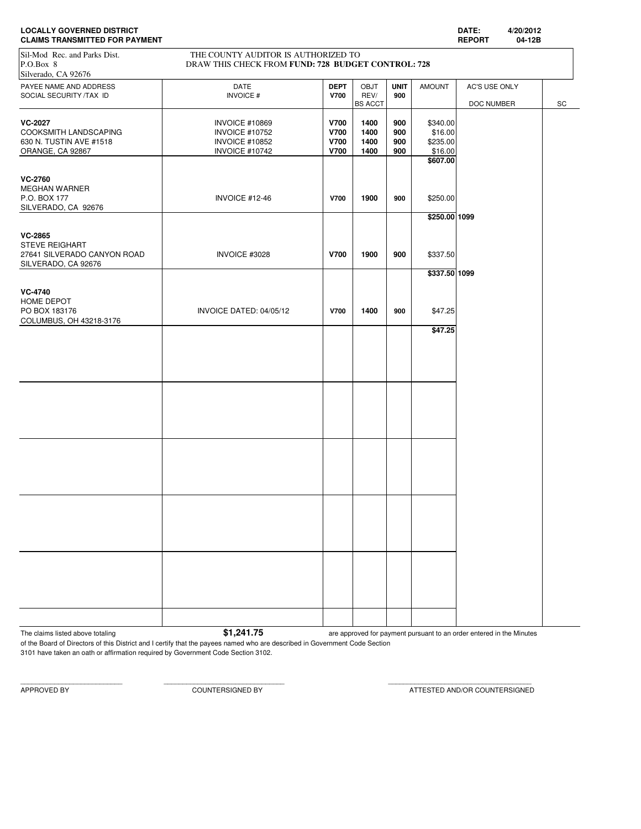| <b>LOCALLY GOVERNED DISTRICT</b>      | <b>DATE</b>  |        |
|---------------------------------------|--------------|--------|
| <b>CLAIMS TRANSMITTED FOR PAYMENT</b> | <b>REPOR</b> | 04-12B |

| <b>CLAIMS TRANSMITTED FOR PAYMENT</b>                                                  |                                                                                                  |                                                          |                                                |                          |                                            | <b>REPORT</b> | 04-12B |    |
|----------------------------------------------------------------------------------------|--------------------------------------------------------------------------------------------------|----------------------------------------------------------|------------------------------------------------|--------------------------|--------------------------------------------|---------------|--------|----|
| Sil-Mod Rec. and Parks Dist.<br>P.O.Box 8<br>Silverado, CA 92676                       | THE COUNTY AUDITOR IS AUTHORIZED TO<br>DRAW THIS CHECK FROM FUND: 728 BUDGET CONTROL: 728        |                                                          |                                                |                          |                                            |               |        |    |
| PAYEE NAME AND ADDRESS<br>SOCIAL SECURITY /TAX ID                                      | DATE<br><b>INVOICE#</b>                                                                          | <b>DEPT</b><br><b>V700</b>                               | OBJT<br>REV/                                   | <b>UNIT</b><br>900       | <b>AMOUNT</b>                              | AC'S USE ONLY |        |    |
| <b>VC-2027</b><br>COOKSMITH LANDSCAPING<br>630 N. TUSTIN AVE #1518<br>ORANGE, CA 92867 | <b>INVOICE #10869</b><br><b>INVOICE #10752</b><br><b>INVOICE #10852</b><br><b>INVOICE #10742</b> | <b>V700</b><br><b>V700</b><br><b>V700</b><br><b>V700</b> | <b>BS ACCT</b><br>1400<br>1400<br>1400<br>1400 | 900<br>900<br>900<br>900 | \$340.00<br>\$16.00<br>\$235.00<br>\$16.00 | DOC NUMBER    |        | SC |
| <b>VC-2760</b><br><b>MEGHAN WARNER</b><br>P.O. BOX 177<br>SILVERADO, CA 92676          | INVOICE #12-46                                                                                   | <b>V700</b>                                              | 1900                                           | 900                      | \$607.00<br>\$250.00                       |               |        |    |
| <b>VC-2865</b><br>STEVE REIGHART<br>27641 SILVERADO CANYON ROAD<br>SILVERADO, CA 92676 | INVOICE #3028                                                                                    | <b>V700</b>                                              | 1900                                           | 900                      | \$250.00 1099<br>\$337.50                  |               |        |    |
| <b>VC-4740</b><br>HOME DEPOT<br>PO BOX 183176<br>COLUMBUS, OH 43218-3176               | INVOICE DATED: 04/05/12                                                                          | <b>V700</b>                                              | 1400                                           | 900                      | \$337.50 1099<br>\$47.25                   |               |        |    |
|                                                                                        |                                                                                                  |                                                          |                                                |                          | \$47.25                                    |               |        |    |
|                                                                                        |                                                                                                  |                                                          |                                                |                          |                                            |               |        |    |
|                                                                                        |                                                                                                  |                                                          |                                                |                          |                                            |               |        |    |
|                                                                                        |                                                                                                  |                                                          |                                                |                          |                                            |               |        |    |
|                                                                                        |                                                                                                  |                                                          |                                                |                          |                                            |               |        |    |
|                                                                                        |                                                                                                  |                                                          |                                                |                          |                                            |               |        |    |

The claims listed above totaling **1.241.75** are approved for payment pursuant to an order entered in the Minutes

of the Board of Directors of this District and I certify that the payees named who are described in Government Code Section 3101 have taken an oath or affirmation required by Government Code Section 3102.

APPROVED BY COUNTERSIGNED BY ATTESTED AND/OR COUNTERSIGNED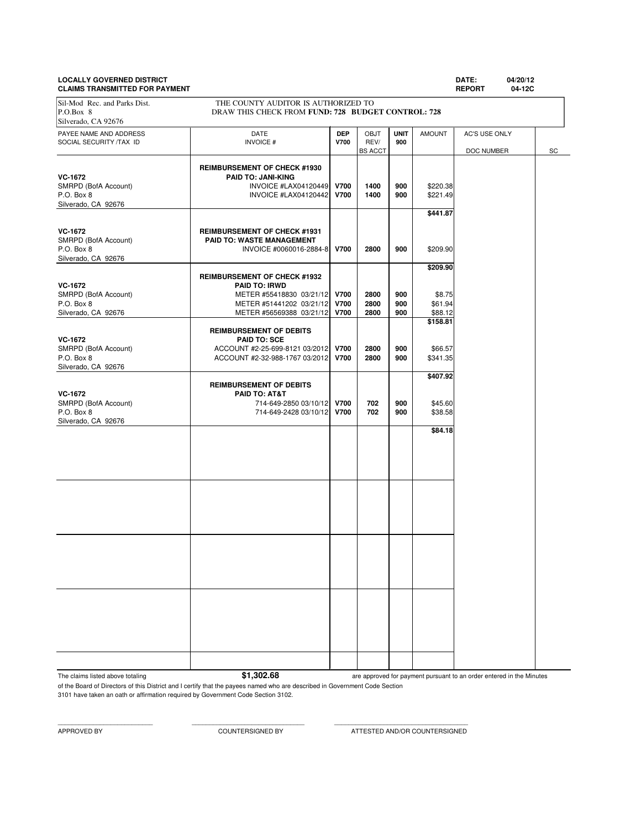# **LOCALLY GOVERNED DISTRICT DATE: 04/20/12**

| <b>DATE:</b> | 04/20 |
|--------------|-------|
|              |       |

| <b>CLAIMS TRANSMITTED FOR PAYMENT</b>                                       |                                                                                                                                                           |                            |                                |                    |                                          | <b>REPORT</b><br>04-12C     |    |  |
|-----------------------------------------------------------------------------|-----------------------------------------------------------------------------------------------------------------------------------------------------------|----------------------------|--------------------------------|--------------------|------------------------------------------|-----------------------------|----|--|
| Sil-Mod Rec. and Parks Dist.<br>P.O.Box 8<br>Silverado, CA 92676            | THE COUNTY AUDITOR IS AUTHORIZED TO<br>DRAW THIS CHECK FROM FUND: 728 BUDGET CONTROL: 728                                                                 |                            |                                |                    |                                          |                             |    |  |
| PAYEE NAME AND ADDRESS<br>SOCIAL SECURITY /TAX ID                           | DATE<br><b>INVOICE#</b>                                                                                                                                   | <b>DEP</b><br>V700         | OBJT<br>REV/<br><b>BS ACCT</b> | <b>UNIT</b><br>900 | <b>AMOUNT</b>                            | AC'S USE ONLY<br>DOC NUMBER | SC |  |
| <b>VC-1672</b><br>SMRPD (BofA Account)<br>P.O. Box 8<br>Silverado, CA 92676 | <b>REIMBURSEMENT OF CHECK #1930</b><br><b>PAID TO: JANI-KING</b><br>INVOICE #LAX04120449<br>INVOICE #LAX04120442                                          | <b>V700</b><br><b>V700</b> | 1400<br>1400                   | 900<br>900         | \$220.38<br>\$221.49<br>\$441.87         |                             |    |  |
| <b>VC-1672</b><br>SMRPD (BofA Account)<br>P.O. Box 8<br>Silverado, CA 92676 | <b>REIMBURSEMENT OF CHECK #1931</b><br>PAID TO: WASTE MANAGEMENT<br>INVOICE #0060016-2884-8                                                               | <b>V700</b>                | 2800                           | 900                | \$209.90                                 |                             |    |  |
| <b>VC-1672</b><br>SMRPD (BofA Account)<br>P.O. Box 8<br>Silverado, CA 92676 | <b>REIMBURSEMENT OF CHECK #1932</b><br><b>PAID TO: IRWD</b><br>METER #55418830 03/21/12 V700<br>METER #51441202 03/21/12<br>METER #56569388 03/21/12 V700 | <b>V700</b>                | 2800<br>2800<br>2800           | 900<br>900<br>900  | \$209.90<br>\$8.75<br>\$61.94<br>\$88.12 |                             |    |  |
| <b>VC-1672</b><br>SMRPD (BofA Account)<br>P.O. Box 8<br>Silverado, CA 92676 | <b>REIMBURSEMENT OF DEBITS</b><br><b>PAID TO: SCE</b><br>ACCOUNT #2-25-699-8121 03/2012 V700<br>ACCOUNT #2-32-988-1767 03/2012                            | <b>V700</b>                | 2800<br>2800                   | 900<br>900         | \$158.81<br>\$66.57<br>\$341.35          |                             |    |  |
| <b>VC-1672</b><br>SMRPD (BofA Account)<br>P.O. Box 8<br>Silverado, CA 92676 | <b>REIMBURSEMENT OF DEBITS</b><br>PAID TO: AT&T<br>714-649-2850 03/10/12<br>714-649-2428 03/10/12                                                         | <b>V700</b><br><b>V700</b> | 702<br>702                     | 900<br>900         | \$407.92<br>\$45.60<br>\$38.58           |                             |    |  |
|                                                                             |                                                                                                                                                           |                            |                                |                    | \$84.18                                  |                             |    |  |
|                                                                             |                                                                                                                                                           |                            |                                |                    |                                          |                             |    |  |
|                                                                             |                                                                                                                                                           |                            |                                |                    |                                          |                             |    |  |
|                                                                             |                                                                                                                                                           |                            |                                |                    |                                          |                             |    |  |
|                                                                             |                                                                                                                                                           |                            |                                |                    |                                          |                             |    |  |

The claims listed above totaling **\$1,302.68** 

are approved for payment pursuant to an order entered in the Minutes

of the Board of Directors of this District and I certify that the payees named who are described in Government Code Section 3101 have taken an oath or affirmation required by Government Code Section 3102.

APPROVED BY COUNTERSIGNED BY ATTESTED AND/OR COUNTERSIGNED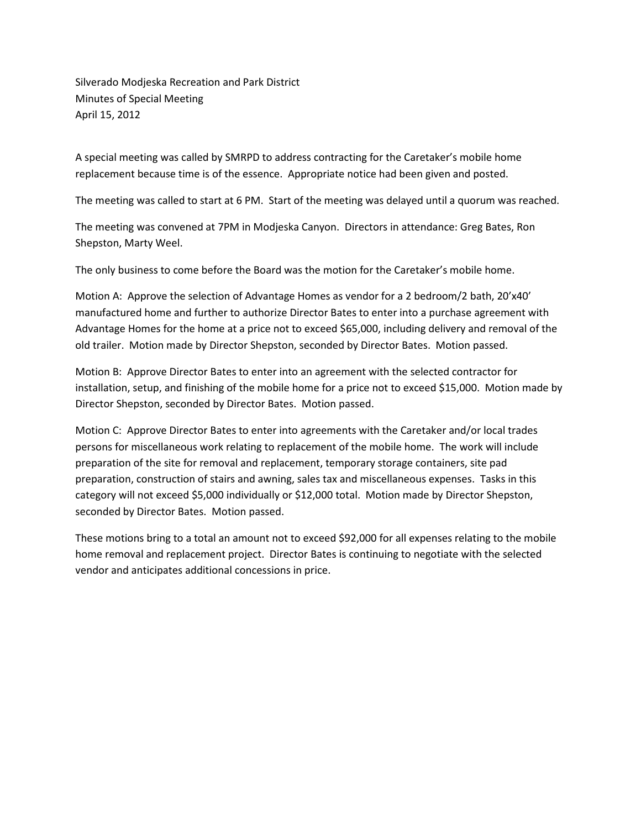Silverado Modjeska Recreation and Park District Minutes of Special Meeting April 15, 2012

A special meeting was called by SMRPD to address contracting for the Caretaker's mobile home replacement because time is of the essence. Appropriate notice had been given and posted.

The meeting was called to start at 6 PM. Start of the meeting was delayed until a quorum was reached.

The meeting was convened at 7PM in Modjeska Canyon. Directors in attendance: Greg Bates, Ron Shepston, Marty Weel.

The only business to come before the Board was the motion for the Caretaker's mobile home.

Motion A: Approve the selection of Advantage Homes as vendor for a 2 bedroom/2 bath, 20'x40' manufactured home and further to authorize Director Bates to enter into a purchase agreement with Advantage Homes for the home at a price not to exceed \$65,000, including delivery and removal of the old trailer. Motion made by Director Shepston, seconded by Director Bates. Motion passed.

Motion B: Approve Director Bates to enter into an agreement with the selected contractor for installation, setup, and finishing of the mobile home for a price not to exceed \$15,000. Motion made by Director Shepston, seconded by Director Bates. Motion passed.

Motion C: Approve Director Bates to enter into agreements with the Caretaker and/or local trades persons for miscellaneous work relating to replacement of the mobile home. The work will include preparation of the site for removal and replacement, temporary storage containers, site pad preparation, construction of stairs and awning, sales tax and miscellaneous expenses. Tasks in this category will not exceed \$5,000 individually or \$12,000 total. Motion made by Director Shepston, seconded by Director Bates. Motion passed.

These motions bring to a total an amount not to exceed \$92,000 for all expenses relating to the mobile home removal and replacement project. Director Bates is continuing to negotiate with the selected vendor and anticipates additional concessions in price.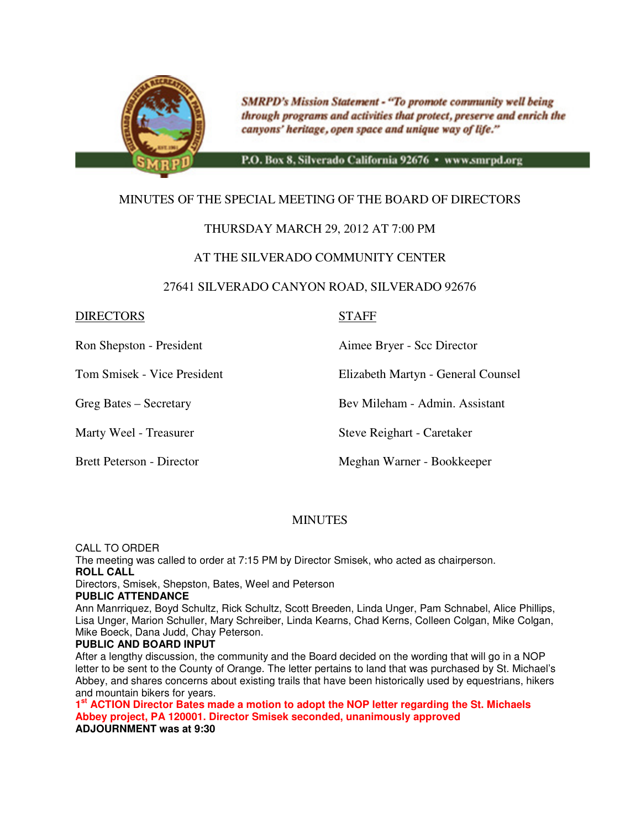

**SMRPD's Mission Statement - "To promote community well being** through programs and activities that protect, preserve and enrich the canyons' heritage, open space and unique way of life."

P.O. Box 8, Silverado California 92676 · www.smrpd.org

# MINUTES OF THE SPECIAL MEETING OF THE BOARD OF DIRECTORS

## THURSDAY MARCH 29, 2012 AT 7:00 PM

## AT THE SILVERADO COMMUNITY CENTER

#### 27641 SILVERADO CANYON ROAD, SILVERADO 92676

#### DIRECTORS STAFF

Ron Shepston - President Aimee Bryer - Scc Director

Tom Smisek - Vice President Elizabeth Martyn - General Counsel

Greg Bates – Secretary Bev Mileham - Admin. Assistant

Marty Weel - Treasurer Steve Reighart - Caretaker

Brett Peterson - Director Meghan Warner - Bookkeeper

#### MINUTES

CALL TO ORDER

The meeting was called to order at 7:15 PM by Director Smisek, who acted as chairperson. **ROLL CALL** 

Directors, Smisek, Shepston, Bates, Weel and Peterson

#### **PUBLIC ATTENDANCE**

Ann Manrriquez, Boyd Schultz, Rick Schultz, Scott Breeden, Linda Unger, Pam Schnabel, Alice Phillips, Lisa Unger, Marion Schuller, Mary Schreiber, Linda Kearns, Chad Kerns, Colleen Colgan, Mike Colgan, Mike Boeck, Dana Judd, Chay Peterson.

#### **PUBLIC AND BOARD INPUT**

After a lengthy discussion, the community and the Board decided on the wording that will go in a NOP letter to be sent to the County of Orange. The letter pertains to land that was purchased by St. Michael's Abbey, and shares concerns about existing trails that have been historically used by equestrians, hikers and mountain bikers for years.

**1 st ACTION Director Bates made a motion to adopt the NOP letter regarding the St. Michaels Abbey project, PA 120001. Director Smisek seconded, unanimously approved ADJOURNMENT was at 9:30**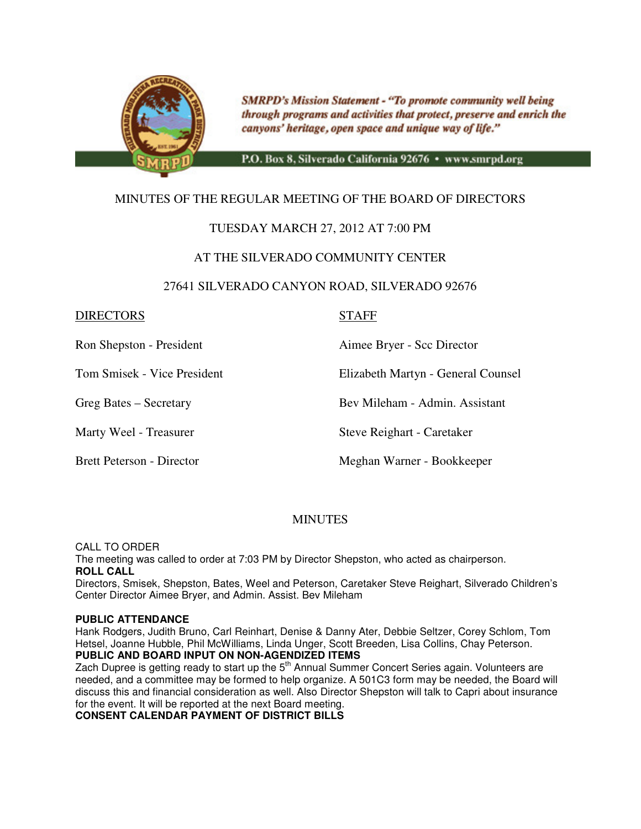

**SMRPD's Mission Statement - "To promote community well being** through programs and activities that protect, preserve and enrich the canyons' heritage, open space and unique way of life."

P.O. Box 8, Silverado California 92676 · www.smrpd.org

# MINUTES OF THE REGULAR MEETING OF THE BOARD OF DIRECTORS

## TUESDAY MARCH 27, 2012 AT 7:00 PM

#### AT THE SILVERADO COMMUNITY CENTER

#### 27641 SILVERADO CANYON ROAD, SILVERADO 92676

#### DIRECTORS STAFF

Ron Shepston - President Aimee Bryer - Scc Director

Tom Smisek - Vice President Elizabeth Martyn - General Counsel

Greg Bates – Secretary Bev Mileham - Admin. Assistant

Marty Weel - Treasurer Steve Reighart - Caretaker

Brett Peterson - Director **Meghan Warner - Bookkeeper** 

# **MINUTES**

CALL TO ORDER

The meeting was called to order at 7:03 PM by Director Shepston, who acted as chairperson. **ROLL CALL** 

Directors, Smisek, Shepston, Bates, Weel and Peterson, Caretaker Steve Reighart, Silverado Children's Center Director Aimee Bryer, and Admin. Assist. Bev Mileham

#### **PUBLIC ATTENDANCE**

Hank Rodgers, Judith Bruno, Carl Reinhart, Denise & Danny Ater, Debbie Seltzer, Corey Schlom, Tom Hetsel, Joanne Hubble, Phil McWilliams, Linda Unger, Scott Breeden, Lisa Collins, Chay Peterson.

**PUBLIC AND BOARD INPUT ON NON-AGENDIZED ITEMS** 

Zach Dupree is getting ready to start up the  $5<sup>th</sup>$  Annual Summer Concert Series again. Volunteers are needed, and a committee may be formed to help organize. A 501C3 form may be needed, the Board will discuss this and financial consideration as well. Also Director Shepston will talk to Capri about insurance for the event. It will be reported at the next Board meeting.

**CONSENT CALENDAR PAYMENT OF DISTRICT BILLS**